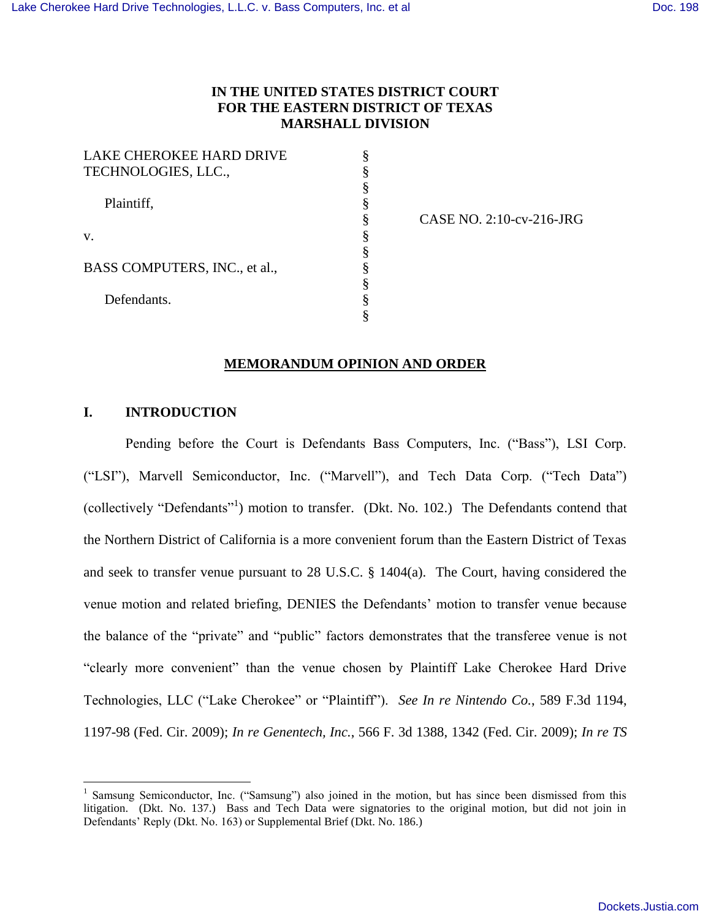# **IN THE UNITED STATES DISTRICT COURT FOR THE EASTERN DISTRICT OF TEXAS MARSHALL DIVISION**

§ § § § § § § § § § §

| LAKE CHEROKEE HARD DRIVE<br>TECHNOLOGIES, LLC., |  |
|-------------------------------------------------|--|
| Plaintiff,                                      |  |
| V.                                              |  |
| BASS COMPUTERS, INC., et al.,                   |  |
| Defendants.                                     |  |

CASE NO. 2:10-cv-216-JRG

## **MEMORANDUM OPINION AND ORDER**

# **I. INTRODUCTION**

 $\overline{a}$ 

Pending before the Court is Defendants Bass Computers, Inc. ("Bass"), LSI Corp. ("LSI"), Marvell Semiconductor, Inc. ("Marvell"), and Tech Data Corp. ("Tech Data") (collectively "Defendants"<sup>1</sup>) motion to transfer. (Dkt. No. 102.) The Defendants contend that the Northern District of California is a more convenient forum than the Eastern District of Texas and seek to transfer venue pursuant to 28 U.S.C. § 1404(a). The Court, having considered the venue motion and related briefing, DENIES the Defendants' motion to transfer venue because the balance of the "private" and "public" factors demonstrates that the transferee venue is not "clearly more convenient" than the venue chosen by Plaintiff Lake Cherokee Hard Drive Technologies, LLC ("Lake Cherokee" or "Plaintiff"). *See In re Nintendo Co.*, 589 F.3d 1194, 1197-98 (Fed. Cir. 2009); *In re Genentech, Inc.*, 566 F. 3d 1388, 1342 (Fed. Cir. 2009); *In re TS* 

<sup>&</sup>lt;sup>1</sup> Samsung Semiconductor, Inc. ("Samsung") also joined in the motion, but has since been dismissed from this litigation. (Dkt. No. 137.) Bass and Tech Data were signatories to the original motion, but did not join in Defendants' Reply (Dkt. No. 163) or Supplemental Brief (Dkt. No. 186.)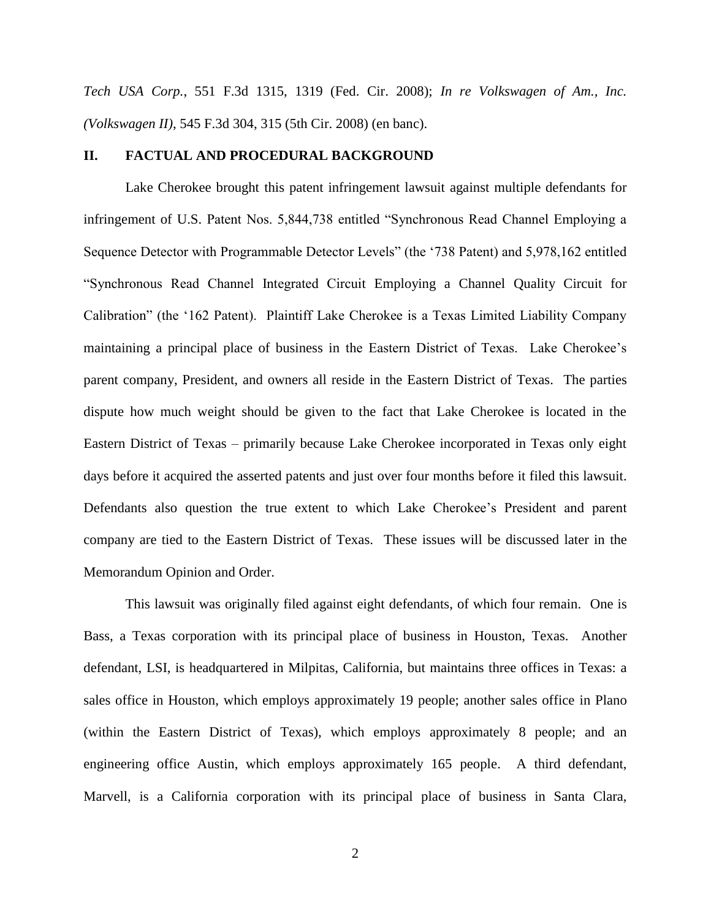*Tech USA Corp.*, 551 F.3d 1315, 1319 (Fed. Cir. 2008); *In re Volkswagen of Am., Inc. (Volkswagen II)*, 545 F.3d 304, 315 (5th Cir. 2008) (en banc).

## **II. FACTUAL AND PROCEDURAL BACKGROUND**

Lake Cherokee brought this patent infringement lawsuit against multiple defendants for infringement of U.S. Patent Nos. 5,844,738 entitled "Synchronous Read Channel Employing a Sequence Detector with Programmable Detector Levels" (the '738 Patent) and 5,978,162 entitled "Synchronous Read Channel Integrated Circuit Employing a Channel Quality Circuit for Calibration" (the '162 Patent). Plaintiff Lake Cherokee is a Texas Limited Liability Company maintaining a principal place of business in the Eastern District of Texas. Lake Cherokee's parent company, President, and owners all reside in the Eastern District of Texas. The parties dispute how much weight should be given to the fact that Lake Cherokee is located in the Eastern District of Texas – primarily because Lake Cherokee incorporated in Texas only eight days before it acquired the asserted patents and just over four months before it filed this lawsuit. Defendants also question the true extent to which Lake Cherokee's President and parent company are tied to the Eastern District of Texas. These issues will be discussed later in the Memorandum Opinion and Order.

This lawsuit was originally filed against eight defendants, of which four remain. One is Bass, a Texas corporation with its principal place of business in Houston, Texas. Another defendant, LSI, is headquartered in Milpitas, California, but maintains three offices in Texas: a sales office in Houston, which employs approximately 19 people; another sales office in Plano (within the Eastern District of Texas), which employs approximately 8 people; and an engineering office Austin, which employs approximately 165 people. A third defendant, Marvell, is a California corporation with its principal place of business in Santa Clara,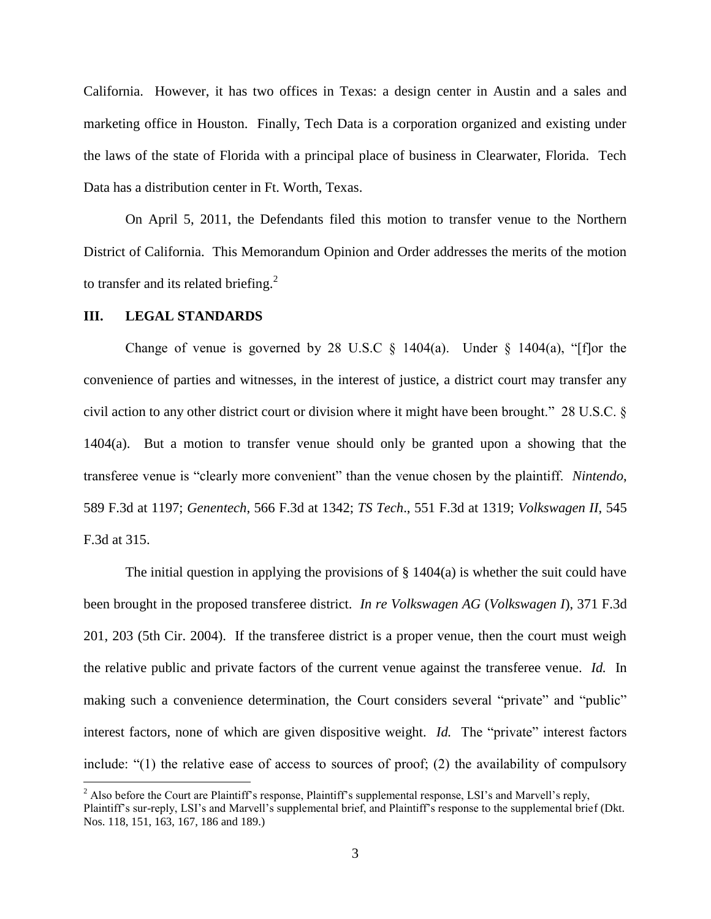California. However, it has two offices in Texas: a design center in Austin and a sales and marketing office in Houston. Finally, Tech Data is a corporation organized and existing under the laws of the state of Florida with a principal place of business in Clearwater, Florida. Tech Data has a distribution center in Ft. Worth, Texas.

On April 5, 2011, the Defendants filed this motion to transfer venue to the Northern District of California. This Memorandum Opinion and Order addresses the merits of the motion to transfer and its related briefing.<sup>2</sup>

#### **III. LEGAL STANDARDS**

 $\overline{a}$ 

Change of venue is governed by 28 U.S.C  $\S$  1404(a). Under  $\S$  1404(a), "[f]or the convenience of parties and witnesses, in the interest of justice, a district court may transfer any civil action to any other district court or division where it might have been brought." 28 U.S.C. § 1404(a). But a motion to transfer venue should only be granted upon a showing that the transferee venue is "clearly more convenient" than the venue chosen by the plaintiff. *Nintendo*, 589 F.3d at 1197; *Genentech*, 566 F.3d at 1342; *TS Tech*., 551 F.3d at 1319; *Volkswagen II*, 545 F.3d at 315.

The initial question in applying the provisions of  $\S$  1404(a) is whether the suit could have been brought in the proposed transferee district. *In re Volkswagen AG* (*Volkswagen I*), 371 F.3d 201, 203 (5th Cir. 2004). If the transferee district is a proper venue, then the court must weigh the relative public and private factors of the current venue against the transferee venue. *Id.* In making such a convenience determination, the Court considers several "private" and "public" interest factors, none of which are given dispositive weight. *Id.* The "private" interest factors include: "(1) the relative ease of access to sources of proof; (2) the availability of compulsory

<sup>&</sup>lt;sup>2</sup> Also before the Court are Plaintiff's response, Plaintiff's supplemental response, LSI's and Marvell's reply, Plaintiff's sur-reply, LSI's and Marvell's supplemental brief, and Plaintiff's response to the supplemental brief (Dkt. Nos. 118, 151, 163, 167, 186 and 189.)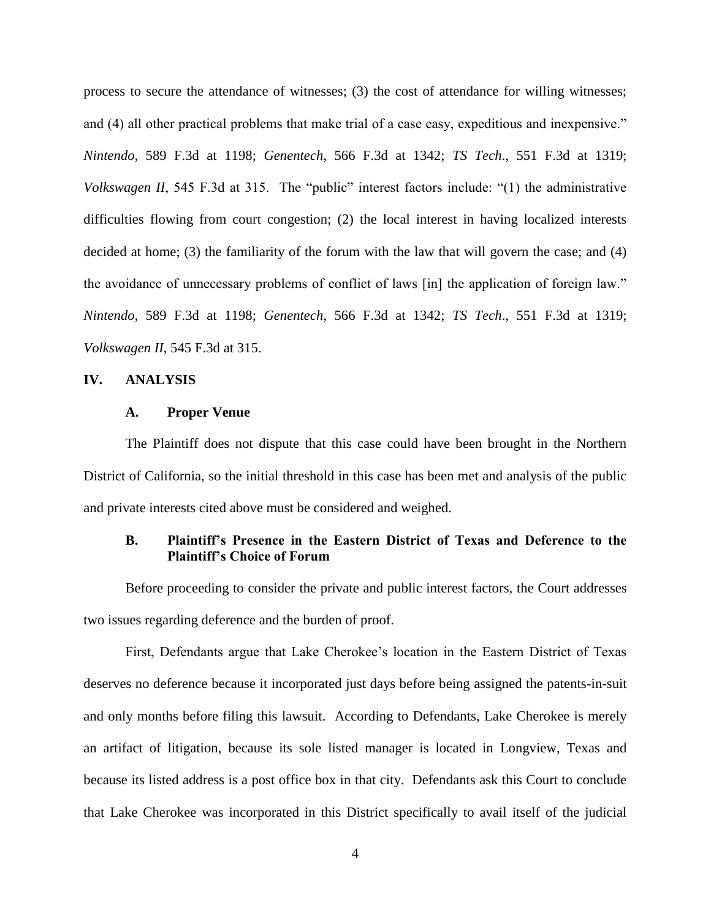process to secure the attendance of witnesses; (3) the cost of attendance for willing witnesses; and (4) all other practical problems that make trial of a case easy, expeditious and inexpensive." *Nintendo*, 589 F.3d at 1198; *Genentech*, 566 F.3d at 1342; *TS Tech*., 551 F.3d at 1319; *Volkswagen II*, 545 F.3d at 315. The "public" interest factors include: "(1) the administrative difficulties flowing from court congestion; (2) the local interest in having localized interests decided at home; (3) the familiarity of the forum with the law that will govern the case; and (4) the avoidance of unnecessary problems of conflict of laws [in] the application of foreign law." *Nintendo*, 589 F.3d at 1198; *Genentech*, 566 F.3d at 1342; *TS Tech*., 551 F.3d at 1319; *Volkswagen II*, 545 F.3d at 315.

#### **IV. ANALYSIS**

#### **A. Proper Venue**

The Plaintiff does not dispute that this case could have been brought in the Northern District of California, so the initial threshold in this case has been met and analysis of the public and private interests cited above must be considered and weighed.

## **B. Plaintiff's Presence in the Eastern District of Texas and Deference to the Plaintiff's Choice of Forum**

Before proceeding to consider the private and public interest factors, the Court addresses two issues regarding deference and the burden of proof.

First, Defendants argue that Lake Cherokee's location in the Eastern District of Texas deserves no deference because it incorporated just days before being assigned the patents-in-suit and only months before filing this lawsuit. According to Defendants, Lake Cherokee is merely an artifact of litigation, because its sole listed manager is located in Longview, Texas and because its listed address is a post office box in that city. Defendants ask this Court to conclude that Lake Cherokee was incorporated in this District specifically to avail itself of the judicial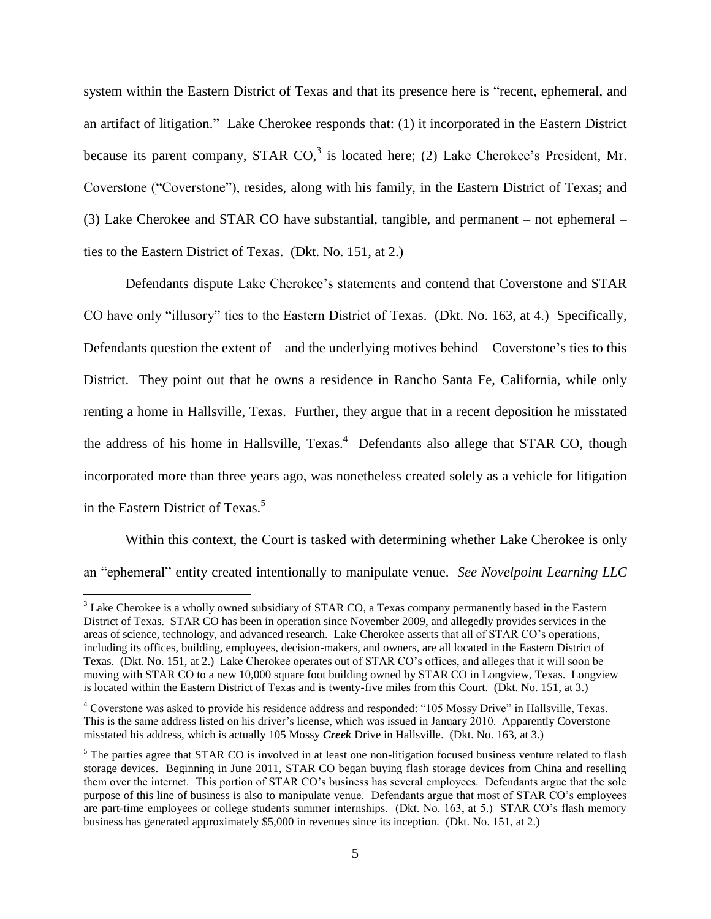system within the Eastern District of Texas and that its presence here is "recent, ephemeral, and an artifact of litigation." Lake Cherokee responds that: (1) it incorporated in the Eastern District because its parent company, STAR CO, $3$  is located here; (2) Lake Cherokee's President, Mr. Coverstone ("Coverstone"), resides, along with his family, in the Eastern District of Texas; and (3) Lake Cherokee and STAR CO have substantial, tangible, and permanent – not ephemeral – ties to the Eastern District of Texas. (Dkt. No. 151, at 2.)

Defendants dispute Lake Cherokee's statements and contend that Coverstone and STAR CO have only "illusory" ties to the Eastern District of Texas. (Dkt. No. 163, at 4.) Specifically, Defendants question the extent of – and the underlying motives behind – Coverstone's ties to this District. They point out that he owns a residence in Rancho Santa Fe, California, while only renting a home in Hallsville, Texas. Further, they argue that in a recent deposition he misstated the address of his home in Hallsville,  $Texas<sup>4</sup>$  Defendants also allege that STAR CO, though incorporated more than three years ago, was nonetheless created solely as a vehicle for litigation in the Eastern District of Texas.<sup>5</sup>

Within this context, the Court is tasked with determining whether Lake Cherokee is only an "ephemeral" entity created intentionally to manipulate venue. *See Novelpoint Learning LLC* 

<sup>&</sup>lt;sup>3</sup> Lake Cherokee is a wholly owned subsidiary of STAR CO, a Texas company permanently based in the Eastern District of Texas. STAR CO has been in operation since November 2009, and allegedly provides services in the areas of science, technology, and advanced research. Lake Cherokee asserts that all of STAR CO's operations, including its offices, building, employees, decision-makers, and owners, are all located in the Eastern District of Texas. (Dkt. No. 151, at 2.) Lake Cherokee operates out of STAR CO's offices, and alleges that it will soon be moving with STAR CO to a new 10,000 square foot building owned by STAR CO in Longview, Texas. Longview is located within the Eastern District of Texas and is twenty-five miles from this Court. (Dkt. No. 151, at 3.)

<sup>4</sup> Coverstone was asked to provide his residence address and responded: "105 Mossy Drive" in Hallsville, Texas. This is the same address listed on his driver's license, which was issued in January 2010. Apparently Coverstone misstated his address, which is actually 105 Mossy *Creek* Drive in Hallsville. (Dkt. No. 163, at 3.)

<sup>&</sup>lt;sup>5</sup> The parties agree that STAR CO is involved in at least one non-litigation focused business venture related to flash storage devices. Beginning in June 2011, STAR CO began buying flash storage devices from China and reselling them over the internet. This portion of STAR CO's business has several employees. Defendants argue that the sole purpose of this line of business is also to manipulate venue. Defendants argue that most of STAR CO's employees are part-time employees or college students summer internships. (Dkt. No. 163, at 5.) STAR CO's flash memory business has generated approximately \$5,000 in revenues since its inception. (Dkt. No. 151, at 2.)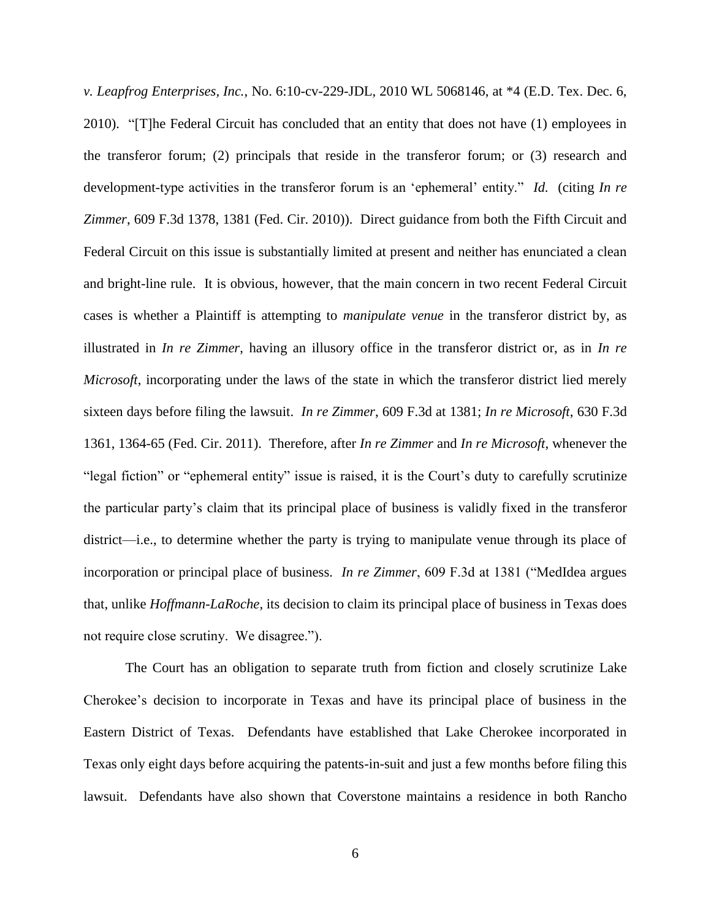*v. Leapfrog Enterprises, Inc.*, No. 6:10-cv-229-JDL, 2010 WL 5068146, at \*4 (E.D. Tex. Dec. 6, 2010). "[T]he Federal Circuit has concluded that an entity that does not have (1) employees in the transferor forum; (2) principals that reside in the transferor forum; or (3) research and development-type activities in the transferor forum is an 'ephemeral' entity." *Id.* (citing *In re Zimmer*, 609 F.3d 1378, 1381 (Fed. Cir. 2010)). Direct guidance from both the Fifth Circuit and Federal Circuit on this issue is substantially limited at present and neither has enunciated a clean and bright-line rule. It is obvious, however, that the main concern in two recent Federal Circuit cases is whether a Plaintiff is attempting to *manipulate venue* in the transferor district by, as illustrated in *In re Zimmer*, having an illusory office in the transferor district or, as in *In re Microsoft*, incorporating under the laws of the state in which the transferor district lied merely sixteen days before filing the lawsuit. *In re Zimmer*, 609 F.3d at 1381; *In re Microsoft*, 630 F.3d 1361, 1364-65 (Fed. Cir. 2011). Therefore, after *In re Zimmer* and *In re Microsoft*, whenever the "legal fiction" or "ephemeral entity" issue is raised, it is the Court's duty to carefully scrutinize the particular party's claim that its principal place of business is validly fixed in the transferor district—i.e., to determine whether the party is trying to manipulate venue through its place of incorporation or principal place of business. *In re Zimmer*, 609 F.3d at 1381 ("MedIdea argues that, unlike *Hoffmann-LaRoche*, its decision to claim its principal place of business in Texas does not require close scrutiny. We disagree.").

The Court has an obligation to separate truth from fiction and closely scrutinize Lake Cherokee's decision to incorporate in Texas and have its principal place of business in the Eastern District of Texas. Defendants have established that Lake Cherokee incorporated in Texas only eight days before acquiring the patents-in-suit and just a few months before filing this lawsuit. Defendants have also shown that Coverstone maintains a residence in both Rancho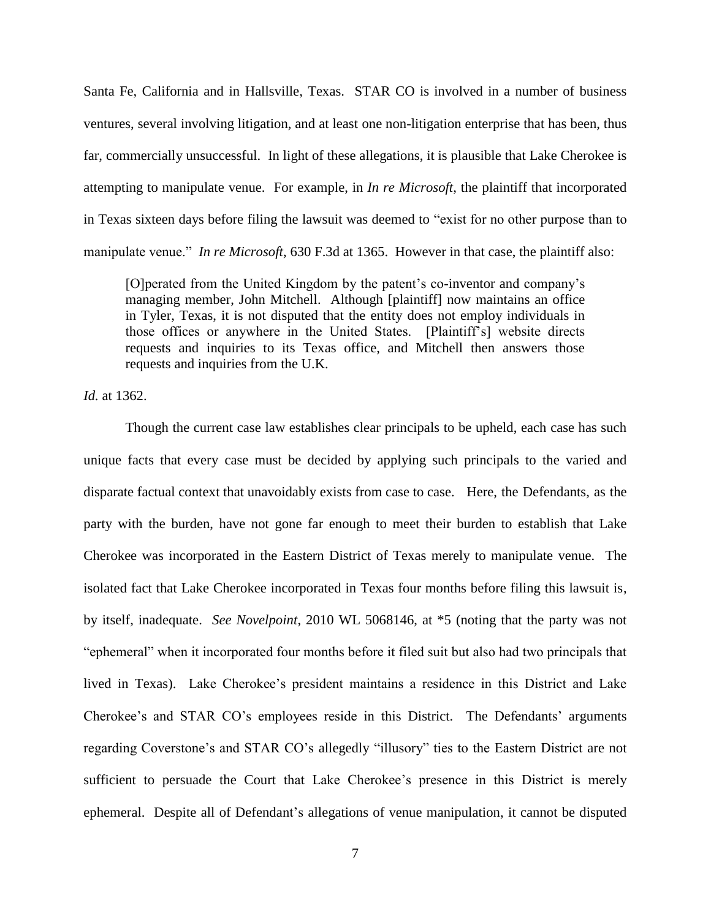Santa Fe, California and in Hallsville, Texas. STAR CO is involved in a number of business ventures, several involving litigation, and at least one non-litigation enterprise that has been, thus far, commercially unsuccessful. In light of these allegations, it is plausible that Lake Cherokee is attempting to manipulate venue. For example, in *In re Microsoft*, the plaintiff that incorporated in Texas sixteen days before filing the lawsuit was deemed to "exist for no other purpose than to manipulate venue." *In re Microsoft*, 630 F.3d at 1365. However in that case, the plaintiff also:

[O]perated from the United Kingdom by the patent's co-inventor and company's managing member, John Mitchell. Although [plaintiff] now maintains an office in Tyler, Texas, it is not disputed that the entity does not employ individuals in those offices or anywhere in the United States. [Plaintiff's] website directs requests and inquiries to its Texas office, and Mitchell then answers those requests and inquiries from the U.K.

*Id.* at 1362.

Though the current case law establishes clear principals to be upheld, each case has such unique facts that every case must be decided by applying such principals to the varied and disparate factual context that unavoidably exists from case to case. Here, the Defendants, as the party with the burden, have not gone far enough to meet their burden to establish that Lake Cherokee was incorporated in the Eastern District of Texas merely to manipulate venue. The isolated fact that Lake Cherokee incorporated in Texas four months before filing this lawsuit is, by itself, inadequate. *See Novelpoint*, 2010 WL 5068146, at \*5 (noting that the party was not "ephemeral" when it incorporated four months before it filed suit but also had two principals that lived in Texas). Lake Cherokee's president maintains a residence in this District and Lake Cherokee's and STAR CO's employees reside in this District. The Defendants' arguments regarding Coverstone's and STAR CO's allegedly "illusory" ties to the Eastern District are not sufficient to persuade the Court that Lake Cherokee's presence in this District is merely ephemeral. Despite all of Defendant's allegations of venue manipulation, it cannot be disputed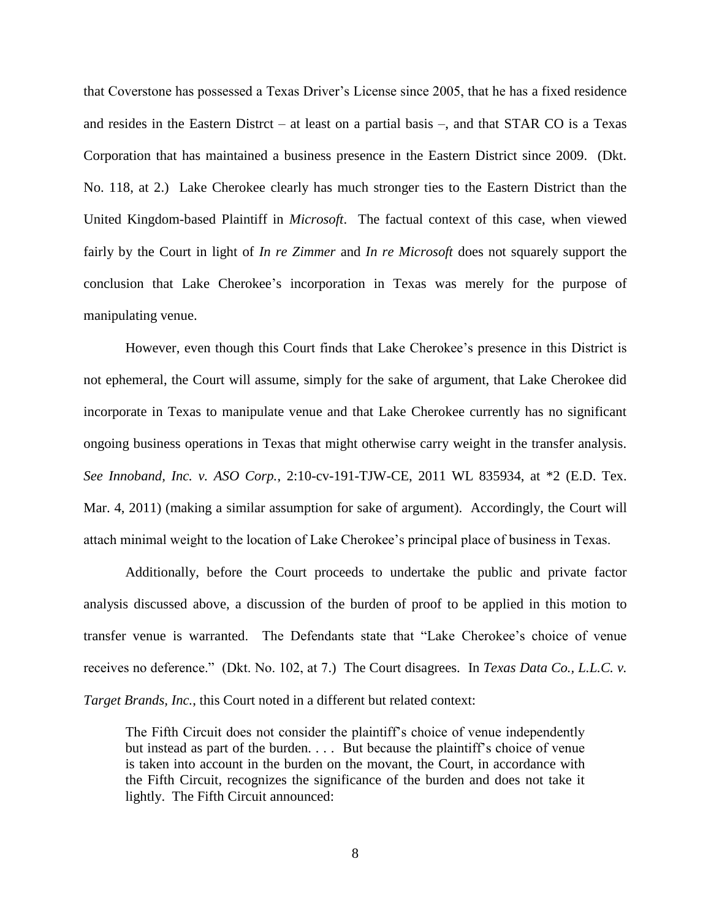that Coverstone has possessed a Texas Driver's License since 2005, that he has a fixed residence and resides in the Eastern Distrct – at least on a partial basis –, and that STAR CO is a Texas Corporation that has maintained a business presence in the Eastern District since 2009. (Dkt. No. 118, at 2.) Lake Cherokee clearly has much stronger ties to the Eastern District than the United Kingdom-based Plaintiff in *Microsoft*. The factual context of this case, when viewed fairly by the Court in light of *In re Zimmer* and *In re Microsoft* does not squarely support the conclusion that Lake Cherokee's incorporation in Texas was merely for the purpose of manipulating venue.

However, even though this Court finds that Lake Cherokee's presence in this District is not ephemeral, the Court will assume, simply for the sake of argument, that Lake Cherokee did incorporate in Texas to manipulate venue and that Lake Cherokee currently has no significant ongoing business operations in Texas that might otherwise carry weight in the transfer analysis. *See Innoband, Inc. v. ASO Corp.*, 2:10-cv-191-TJW-CE, 2011 WL 835934, at \*2 (E.D. Tex. Mar. 4, 2011) (making a similar assumption for sake of argument). Accordingly, the Court will attach minimal weight to the location of Lake Cherokee's principal place of business in Texas.

Additionally, before the Court proceeds to undertake the public and private factor analysis discussed above, a discussion of the burden of proof to be applied in this motion to transfer venue is warranted. The Defendants state that "Lake Cherokee's choice of venue receives no deference." (Dkt. No. 102, at 7.) The Court disagrees. In *Texas Data Co., L.L.C. v. Target Brands, Inc.*, this Court noted in a different but related context:

The Fifth Circuit does not consider the plaintiff's choice of venue independently but instead as part of the burden. . . . But because the plaintiff's choice of venue is taken into account in the burden on the movant, the Court, in accordance with the Fifth Circuit, recognizes the significance of the burden and does not take it lightly. The Fifth Circuit announced: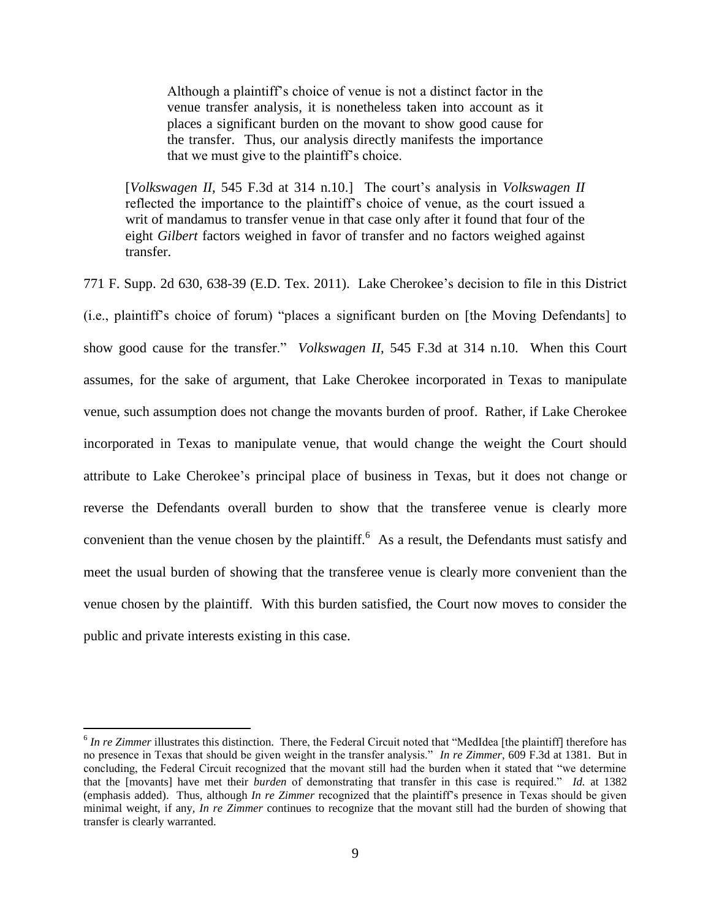Although a plaintiff's choice of venue is not a distinct factor in the venue transfer analysis, it is nonetheless taken into account as it places a significant burden on the movant to show good cause for the transfer. Thus, our analysis directly manifests the importance that we must give to the plaintiff's choice.

[*Volkswagen II*, 545 F.3d at 314 n.10.] The court's analysis in *Volkswagen II* reflected the importance to the plaintiff's choice of venue, as the court issued a writ of mandamus to transfer venue in that case only after it found that four of the eight *Gilbert* factors weighed in favor of transfer and no factors weighed against transfer.

771 F. Supp. 2d 630, 638-39 (E.D. Tex. 2011). Lake Cherokee's decision to file in this District (i.e., plaintiff's choice of forum) "places a significant burden on [the Moving Defendants] to show good cause for the transfer." *Volkswagen II*, 545 F.3d at 314 n.10. When this Court assumes, for the sake of argument, that Lake Cherokee incorporated in Texas to manipulate venue, such assumption does not change the movants burden of proof. Rather, if Lake Cherokee incorporated in Texas to manipulate venue, that would change the weight the Court should attribute to Lake Cherokee's principal place of business in Texas, but it does not change or reverse the Defendants overall burden to show that the transferee venue is clearly more convenient than the venue chosen by the plaintiff.<sup>6</sup> As a result, the Defendants must satisfy and meet the usual burden of showing that the transferee venue is clearly more convenient than the venue chosen by the plaintiff. With this burden satisfied, the Court now moves to consider the public and private interests existing in this case.

<sup>&</sup>lt;sup>6</sup> In re Zimmer illustrates this distinction. There, the Federal Circuit noted that "MedIdea [the plaintiff] therefore has no presence in Texas that should be given weight in the transfer analysis." *In re Zimmer*, 609 F.3d at 1381. But in concluding, the Federal Circuit recognized that the movant still had the burden when it stated that "we determine that the [movants] have met their *burden* of demonstrating that transfer in this case is required." *Id.* at 1382 (emphasis added). Thus, although *In re Zimmer* recognized that the plaintiff's presence in Texas should be given minimal weight, if any, *In re Zimmer* continues to recognize that the movant still had the burden of showing that transfer is clearly warranted.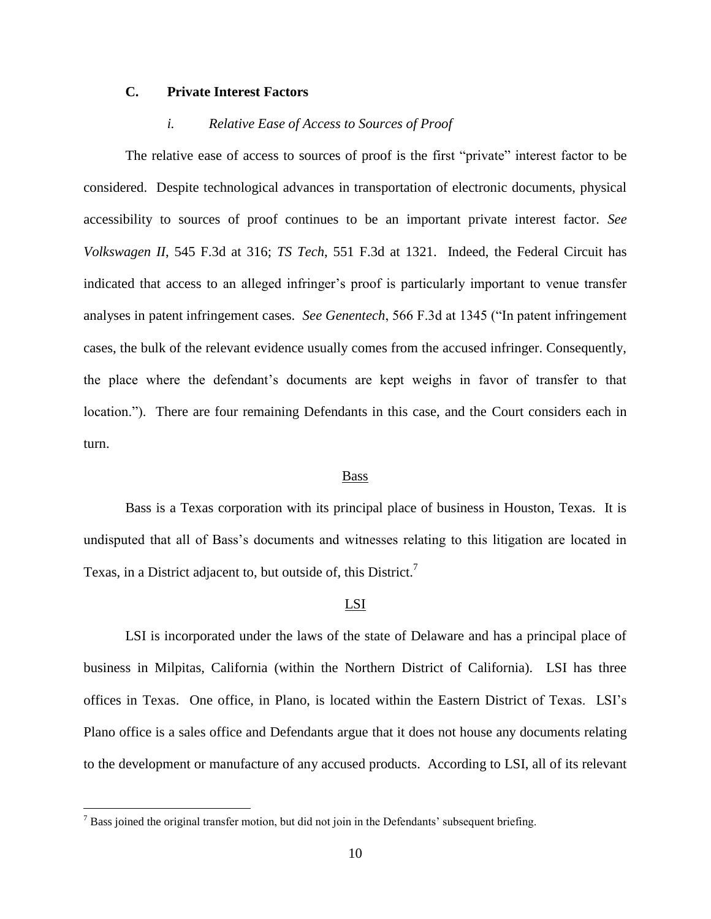## **C. Private Interest Factors**

## *i. Relative Ease of Access to Sources of Proof*

The relative ease of access to sources of proof is the first "private" interest factor to be considered. Despite technological advances in transportation of electronic documents, physical accessibility to sources of proof continues to be an important private interest factor. *See Volkswagen II*, 545 F.3d at 316; *TS Tech*, 551 F.3d at 1321. Indeed, the Federal Circuit has indicated that access to an alleged infringer's proof is particularly important to venue transfer analyses in patent infringement cases. *See Genentech*, 566 F.3d at 1345 ("In patent infringement cases, the bulk of the relevant evidence usually comes from the accused infringer. Consequently, the place where the defendant's documents are kept weighs in favor of transfer to that location."). There are four remaining Defendants in this case, and the Court considers each in turn.

#### Bass

Bass is a Texas corporation with its principal place of business in Houston, Texas. It is undisputed that all of Bass's documents and witnesses relating to this litigation are located in Texas, in a District adjacent to, but outside of, this District.<sup>7</sup>

#### LSI

LSI is incorporated under the laws of the state of Delaware and has a principal place of business in Milpitas, California (within the Northern District of California). LSI has three offices in Texas. One office, in Plano, is located within the Eastern District of Texas. LSI's Plano office is a sales office and Defendants argue that it does not house any documents relating to the development or manufacture of any accused products. According to LSI, all of its relevant

 $<sup>7</sup>$  Bass joined the original transfer motion, but did not join in the Defendants' subsequent briefing.</sup>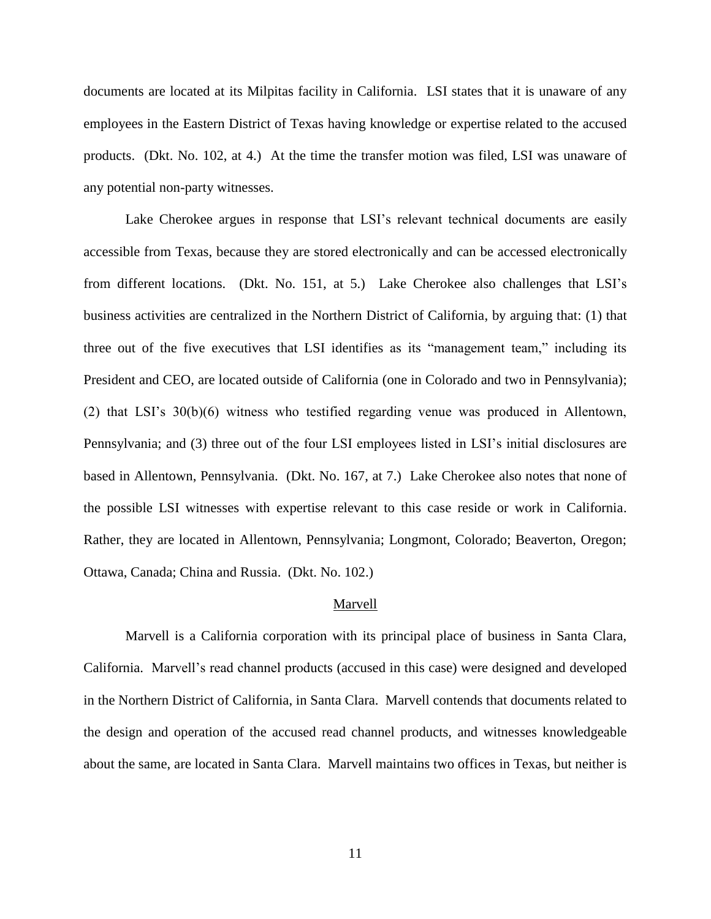documents are located at its Milpitas facility in California. LSI states that it is unaware of any employees in the Eastern District of Texas having knowledge or expertise related to the accused products. (Dkt. No. 102, at 4.) At the time the transfer motion was filed, LSI was unaware of any potential non-party witnesses.

Lake Cherokee argues in response that LSI's relevant technical documents are easily accessible from Texas, because they are stored electronically and can be accessed electronically from different locations. (Dkt. No. 151, at 5.) Lake Cherokee also challenges that LSI's business activities are centralized in the Northern District of California, by arguing that: (1) that three out of the five executives that LSI identifies as its "management team," including its President and CEO, are located outside of California (one in Colorado and two in Pennsylvania); (2) that LSI's 30(b)(6) witness who testified regarding venue was produced in Allentown, Pennsylvania; and (3) three out of the four LSI employees listed in LSI's initial disclosures are based in Allentown, Pennsylvania. (Dkt. No. 167, at 7.) Lake Cherokee also notes that none of the possible LSI witnesses with expertise relevant to this case reside or work in California. Rather, they are located in Allentown, Pennsylvania; Longmont, Colorado; Beaverton, Oregon; Ottawa, Canada; China and Russia. (Dkt. No. 102.)

#### Marvell

Marvell is a California corporation with its principal place of business in Santa Clara, California. Marvell's read channel products (accused in this case) were designed and developed in the Northern District of California, in Santa Clara. Marvell contends that documents related to the design and operation of the accused read channel products, and witnesses knowledgeable about the same, are located in Santa Clara. Marvell maintains two offices in Texas, but neither is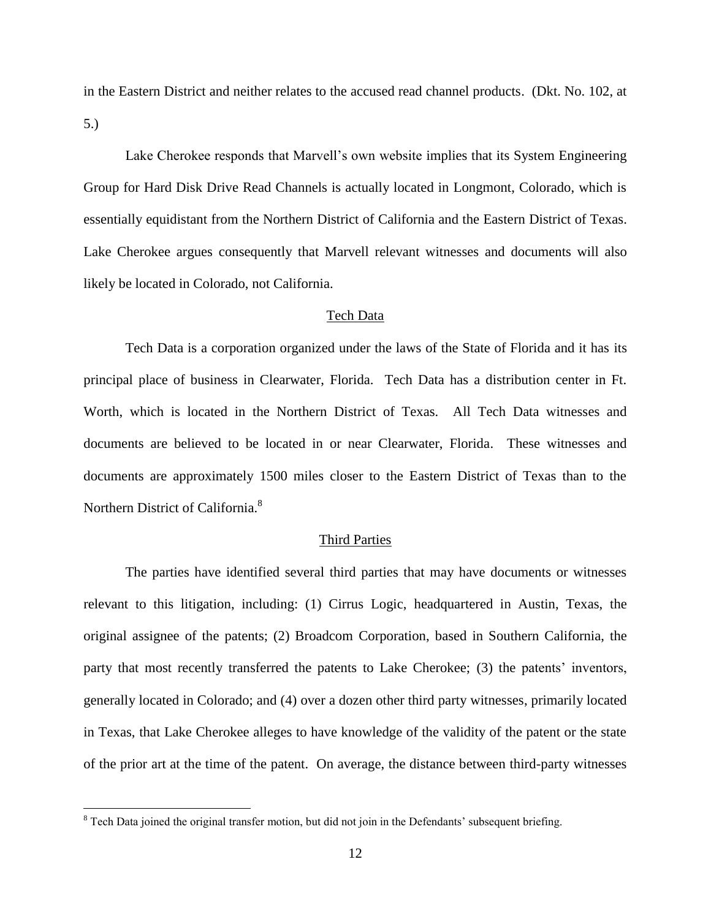in the Eastern District and neither relates to the accused read channel products. (Dkt. No. 102, at 5.)

Lake Cherokee responds that Marvell's own website implies that its System Engineering Group for Hard Disk Drive Read Channels is actually located in Longmont, Colorado, which is essentially equidistant from the Northern District of California and the Eastern District of Texas. Lake Cherokee argues consequently that Marvell relevant witnesses and documents will also likely be located in Colorado, not California.

#### Tech Data

Tech Data is a corporation organized under the laws of the State of Florida and it has its principal place of business in Clearwater, Florida. Tech Data has a distribution center in Ft. Worth, which is located in the Northern District of Texas. All Tech Data witnesses and documents are believed to be located in or near Clearwater, Florida. These witnesses and documents are approximately 1500 miles closer to the Eastern District of Texas than to the Northern District of California.<sup>8</sup>

### Third Parties

The parties have identified several third parties that may have documents or witnesses relevant to this litigation, including: (1) Cirrus Logic, headquartered in Austin, Texas, the original assignee of the patents; (2) Broadcom Corporation, based in Southern California, the party that most recently transferred the patents to Lake Cherokee; (3) the patents' inventors, generally located in Colorado; and (4) over a dozen other third party witnesses, primarily located in Texas, that Lake Cherokee alleges to have knowledge of the validity of the patent or the state of the prior art at the time of the patent. On average, the distance between third-party witnesses

<sup>&</sup>lt;sup>8</sup> Tech Data joined the original transfer motion, but did not join in the Defendants' subsequent briefing.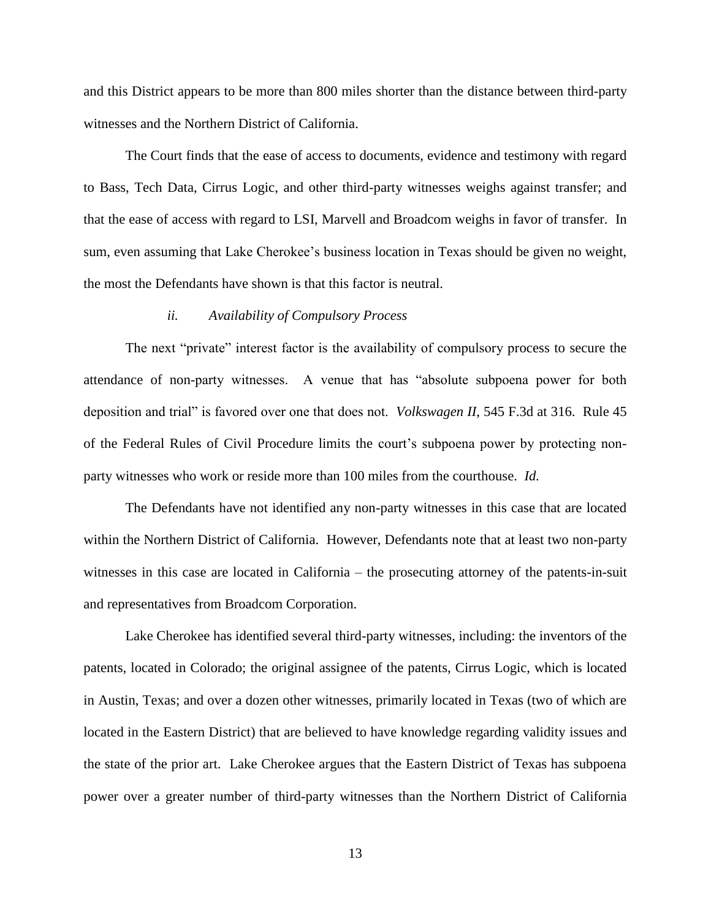and this District appears to be more than 800 miles shorter than the distance between third-party witnesses and the Northern District of California.

The Court finds that the ease of access to documents, evidence and testimony with regard to Bass, Tech Data, Cirrus Logic, and other third-party witnesses weighs against transfer; and that the ease of access with regard to LSI, Marvell and Broadcom weighs in favor of transfer. In sum, even assuming that Lake Cherokee's business location in Texas should be given no weight, the most the Defendants have shown is that this factor is neutral.

#### *ii. Availability of Compulsory Process*

The next "private" interest factor is the availability of compulsory process to secure the attendance of non-party witnesses. A venue that has "absolute subpoena power for both deposition and trial" is favored over one that does not. *Volkswagen II*, 545 F.3d at 316. Rule 45 of the Federal Rules of Civil Procedure limits the court's subpoena power by protecting nonparty witnesses who work or reside more than 100 miles from the courthouse. *Id.*

The Defendants have not identified any non-party witnesses in this case that are located within the Northern District of California. However, Defendants note that at least two non-party witnesses in this case are located in California – the prosecuting attorney of the patents-in-suit and representatives from Broadcom Corporation.

Lake Cherokee has identified several third-party witnesses, including: the inventors of the patents, located in Colorado; the original assignee of the patents, Cirrus Logic, which is located in Austin, Texas; and over a dozen other witnesses, primarily located in Texas (two of which are located in the Eastern District) that are believed to have knowledge regarding validity issues and the state of the prior art. Lake Cherokee argues that the Eastern District of Texas has subpoena power over a greater number of third-party witnesses than the Northern District of California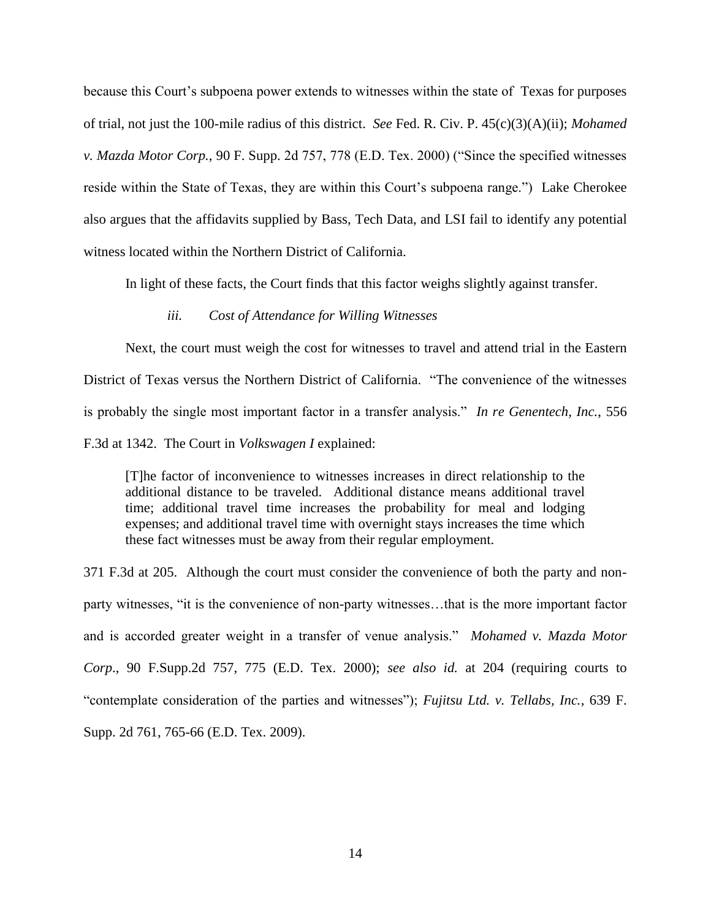because this Court's subpoena power extends to witnesses within the state of Texas for purposes of trial, not just the 100-mile radius of this district. *See* Fed. R. Civ. P. 45(c)(3)(A)(ii); *Mohamed v. Mazda Motor Corp.*, 90 F. Supp. 2d 757, 778 (E.D. Tex. 2000) ("Since the specified witnesses reside within the State of Texas, they are within this Court's subpoena range.") Lake Cherokee also argues that the affidavits supplied by Bass, Tech Data, and LSI fail to identify any potential witness located within the Northern District of California.

In light of these facts, the Court finds that this factor weighs slightly against transfer.

## *iii. Cost of Attendance for Willing Witnesses*

Next, the court must weigh the cost for witnesses to travel and attend trial in the Eastern District of Texas versus the Northern District of California. "The convenience of the witnesses is probably the single most important factor in a transfer analysis." *In re Genentech, Inc.*, 556 F.3d at 1342. The Court in *Volkswagen I* explained:

[T]he factor of inconvenience to witnesses increases in direct relationship to the additional distance to be traveled. Additional distance means additional travel time; additional travel time increases the probability for meal and lodging expenses; and additional travel time with overnight stays increases the time which these fact witnesses must be away from their regular employment.

371 F.3d at 205. Although the court must consider the convenience of both the party and nonparty witnesses, "it is the convenience of non-party witnesses…that is the more important factor and is accorded greater weight in a transfer of venue analysis." *Mohamed v. Mazda Motor Corp*., 90 F.Supp.2d 757, 775 (E.D. Tex. 2000); *see also id.* at 204 (requiring courts to "contemplate consideration of the parties and witnesses"); *Fujitsu Ltd. v. Tellabs, Inc.*, 639 F. Supp. 2d 761, 765-66 (E.D. Tex. 2009).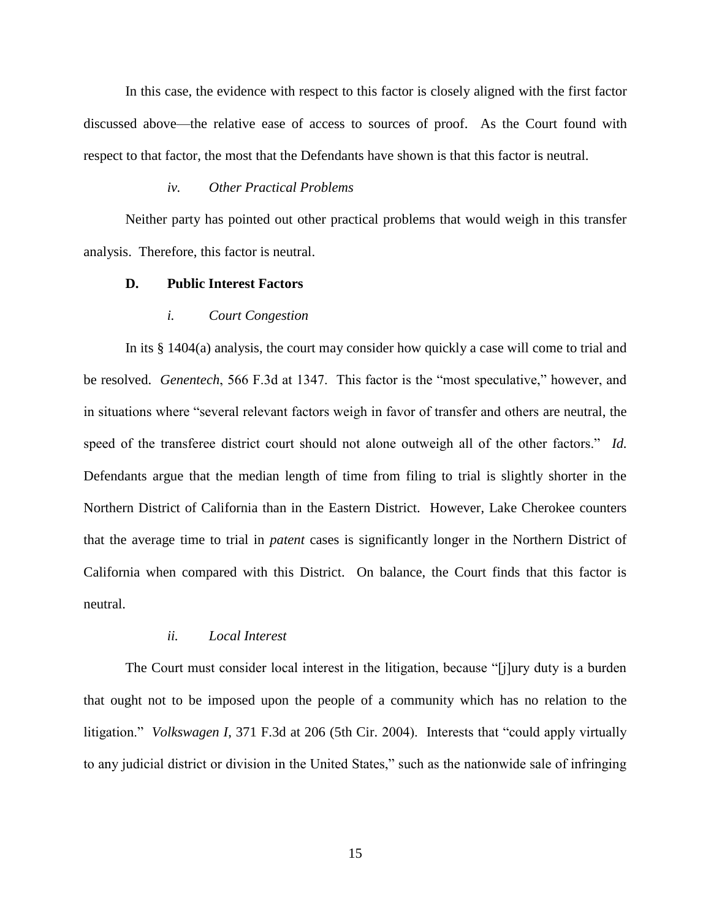In this case, the evidence with respect to this factor is closely aligned with the first factor discussed above—the relative ease of access to sources of proof. As the Court found with respect to that factor, the most that the Defendants have shown is that this factor is neutral.

#### *iv. Other Practical Problems*

Neither party has pointed out other practical problems that would weigh in this transfer analysis. Therefore, this factor is neutral.

## **D. Public Interest Factors**

#### *i. Court Congestion*

In its § 1404(a) analysis, the court may consider how quickly a case will come to trial and be resolved. *Genentech*, 566 F.3d at 1347. This factor is the "most speculative," however, and in situations where "several relevant factors weigh in favor of transfer and others are neutral, the speed of the transferee district court should not alone outweigh all of the other factors." *Id.* Defendants argue that the median length of time from filing to trial is slightly shorter in the Northern District of California than in the Eastern District. However, Lake Cherokee counters that the average time to trial in *patent* cases is significantly longer in the Northern District of California when compared with this District. On balance, the Court finds that this factor is neutral.

#### *ii. Local Interest*

The Court must consider local interest in the litigation, because "[j]ury duty is a burden that ought not to be imposed upon the people of a community which has no relation to the litigation." *Volkswagen I*, 371 F.3d at 206 (5th Cir. 2004). Interests that "could apply virtually to any judicial district or division in the United States," such as the nationwide sale of infringing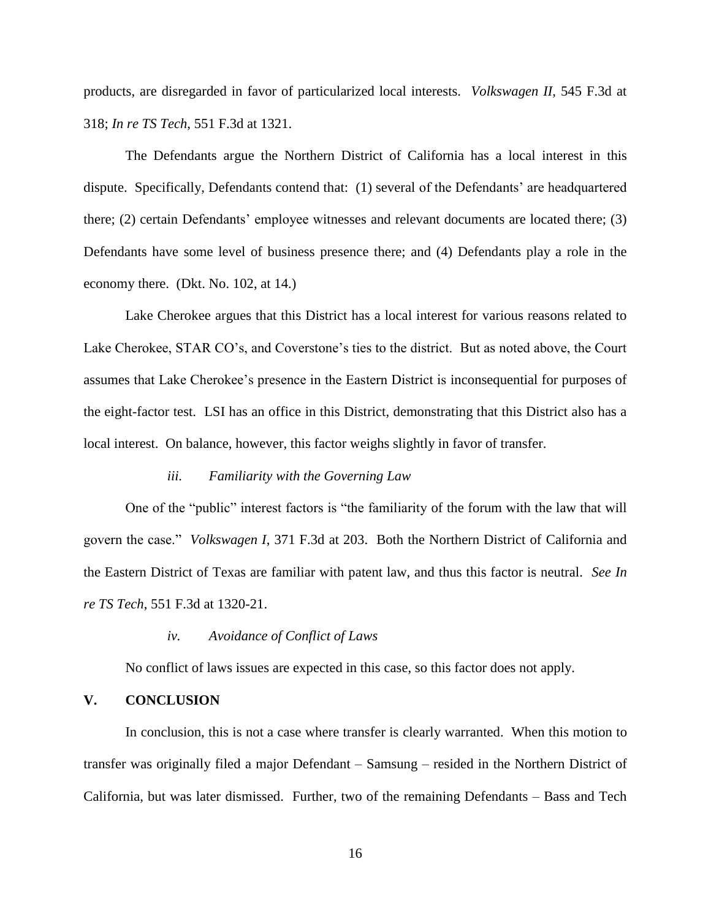products, are disregarded in favor of particularized local interests. *Volkswagen II*, 545 F.3d at 318; *In re TS Tech*, 551 F.3d at 1321.

The Defendants argue the Northern District of California has a local interest in this dispute. Specifically, Defendants contend that: (1) several of the Defendants' are headquartered there; (2) certain Defendants' employee witnesses and relevant documents are located there; (3) Defendants have some level of business presence there; and (4) Defendants play a role in the economy there. (Dkt. No. 102, at 14.)

Lake Cherokee argues that this District has a local interest for various reasons related to Lake Cherokee, STAR CO's, and Coverstone's ties to the district. But as noted above, the Court assumes that Lake Cherokee's presence in the Eastern District is inconsequential for purposes of the eight-factor test. LSI has an office in this District, demonstrating that this District also has a local interest. On balance, however, this factor weighs slightly in favor of transfer.

## *iii. Familiarity with the Governing Law*

One of the "public" interest factors is "the familiarity of the forum with the law that will govern the case." *Volkswagen I*, 371 F.3d at 203. Both the Northern District of California and the Eastern District of Texas are familiar with patent law, and thus this factor is neutral. *See In re TS Tech*, 551 F.3d at 1320-21.

## *iv. Avoidance of Conflict of Laws*

No conflict of laws issues are expected in this case, so this factor does not apply.

### **V. CONCLUSION**

In conclusion, this is not a case where transfer is clearly warranted. When this motion to transfer was originally filed a major Defendant – Samsung – resided in the Northern District of California, but was later dismissed. Further, two of the remaining Defendants – Bass and Tech